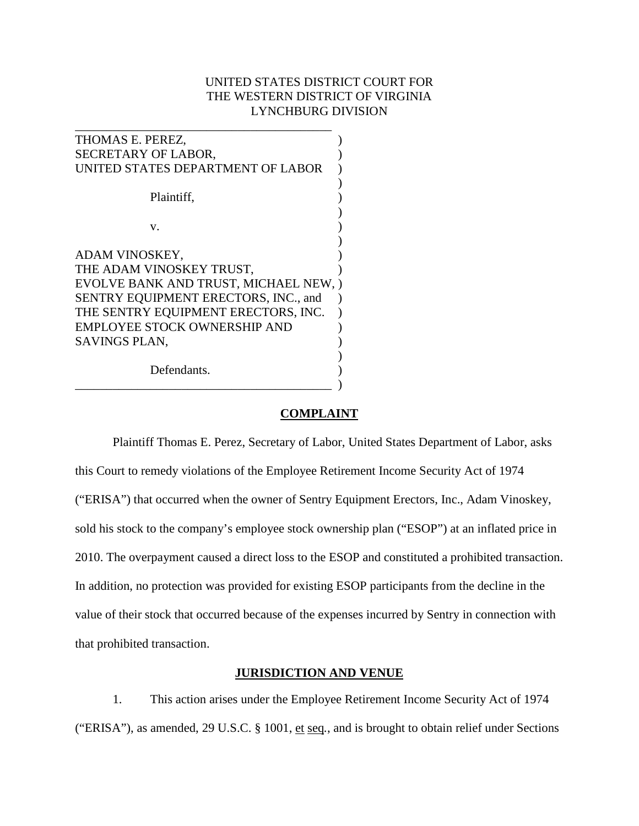# UNITED STATES DISTRICT COURT FOR THE WESTERN DISTRICT OF VIRGINIA LYNCHBURG DIVISION

| THOMAS E. PEREZ,                     |  |
|--------------------------------------|--|
|                                      |  |
| SECRETARY OF LABOR,                  |  |
| UNITED STATES DEPARTMENT OF LABOR    |  |
|                                      |  |
| Plaintiff,                           |  |
|                                      |  |
| V.                                   |  |
|                                      |  |
| ADAM VINOSKEY,                       |  |
|                                      |  |
| THE ADAM VINOSKEY TRUST,             |  |
| EVOLVE BANK AND TRUST, MICHAEL NEW,  |  |
| SENTRY EQUIPMENT ERECTORS, INC., and |  |
| THE SENTRY EQUIPMENT ERECTORS, INC.  |  |
| EMPLOYEE STOCK OWNERSHIP AND         |  |
| SAVINGS PLAN,                        |  |
|                                      |  |
|                                      |  |
| Defendants.                          |  |
|                                      |  |

## **COMPLAINT**

Plaintiff Thomas E. Perez, Secretary of Labor, United States Department of Labor, asks this Court to remedy violations of the Employee Retirement Income Security Act of 1974 ("ERISA") that occurred when the owner of Sentry Equipment Erectors, Inc., Adam Vinoskey, sold his stock to the company's employee stock ownership plan ("ESOP") at an inflated price in 2010. The overpayment caused a direct loss to the ESOP and constituted a prohibited transaction. In addition, no protection was provided for existing ESOP participants from the decline in the value of their stock that occurred because of the expenses incurred by Sentry in connection with that prohibited transaction.

# **JURISDICTION AND VENUE**

1. This action arises under the Employee Retirement Income Security Act of 1974 ("ERISA"), as amended, 29 U.S.C. § 1001, et seq*.*, and is brought to obtain relief under Sections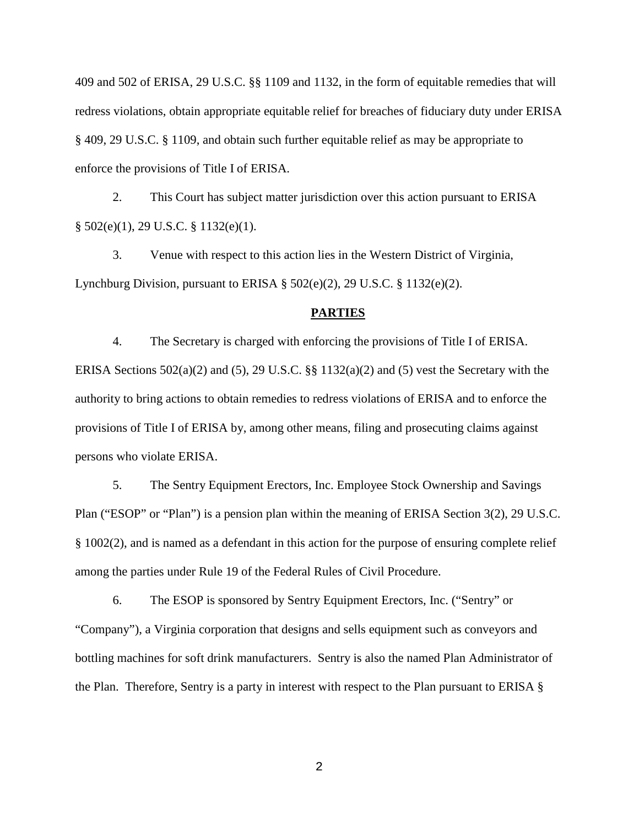409 and 502 of ERISA, 29 U.S.C. §§ 1109 and 1132, in the form of equitable remedies that will redress violations, obtain appropriate equitable relief for breaches of fiduciary duty under ERISA § 409, 29 U.S.C. § 1109, and obtain such further equitable relief as may be appropriate to enforce the provisions of Title I of ERISA.

2. This Court has subject matter jurisdiction over this action pursuant to ERISA § 502(e)(1), 29 U.S.C. § 1132(e)(1).

3. Venue with respect to this action lies in the Western District of Virginia, Lynchburg Division, pursuant to ERISA § 502(e)(2), 29 U.S.C. § 1132(e)(2).

### **PARTIES**

4. The Secretary is charged with enforcing the provisions of Title I of ERISA. ERISA Sections 502(a)(2) and (5), 29 U.S.C. §§ 1132(a)(2) and (5) vest the Secretary with the authority to bring actions to obtain remedies to redress violations of ERISA and to enforce the provisions of Title I of ERISA by, among other means, filing and prosecuting claims against persons who violate ERISA.

5. The Sentry Equipment Erectors, Inc. Employee Stock Ownership and Savings Plan ("ESOP" or "Plan") is a pension plan within the meaning of ERISA Section 3(2), 29 U.S.C. § 1002(2), and is named as a defendant in this action for the purpose of ensuring complete relief among the parties under Rule 19 of the Federal Rules of Civil Procedure.

6. The ESOP is sponsored by Sentry Equipment Erectors, Inc. ("Sentry" or "Company"), a Virginia corporation that designs and sells equipment such as conveyors and bottling machines for soft drink manufacturers. Sentry is also the named Plan Administrator of the Plan. Therefore, Sentry is a party in interest with respect to the Plan pursuant to ERISA §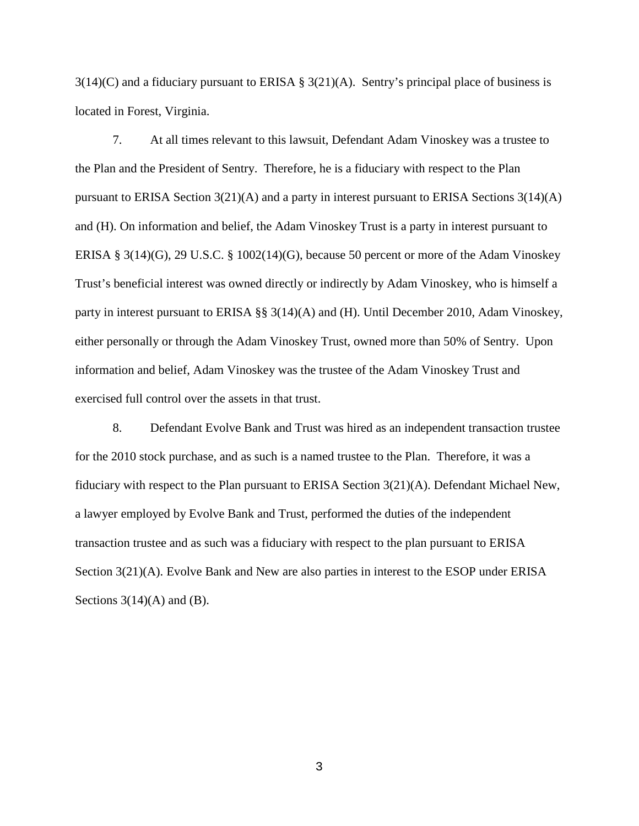$3(14)(C)$  and a fiduciary pursuant to ERISA §  $3(21)(A)$ . Sentry's principal place of business is located in Forest, Virginia.

7. At all times relevant to this lawsuit, Defendant Adam Vinoskey was a trustee to the Plan and the President of Sentry. Therefore, he is a fiduciary with respect to the Plan pursuant to ERISA Section  $3(21)(A)$  and a party in interest pursuant to ERISA Sections  $3(14)(A)$ and (H). On information and belief, the Adam Vinoskey Trust is a party in interest pursuant to ERISA § 3(14)(G), 29 U.S.C. § 1002(14)(G), because 50 percent or more of the Adam Vinoskey Trust's beneficial interest was owned directly or indirectly by Adam Vinoskey, who is himself a party in interest pursuant to ERISA §§ 3(14)(A) and (H). Until December 2010, Adam Vinoskey, either personally or through the Adam Vinoskey Trust, owned more than 50% of Sentry. Upon information and belief, Adam Vinoskey was the trustee of the Adam Vinoskey Trust and exercised full control over the assets in that trust.

8. Defendant Evolve Bank and Trust was hired as an independent transaction trustee for the 2010 stock purchase, and as such is a named trustee to the Plan. Therefore, it was a fiduciary with respect to the Plan pursuant to ERISA Section 3(21)(A). Defendant Michael New, a lawyer employed by Evolve Bank and Trust, performed the duties of the independent transaction trustee and as such was a fiduciary with respect to the plan pursuant to ERISA Section 3(21)(A). Evolve Bank and New are also parties in interest to the ESOP under ERISA Sections  $3(14)(A)$  and  $(B)$ .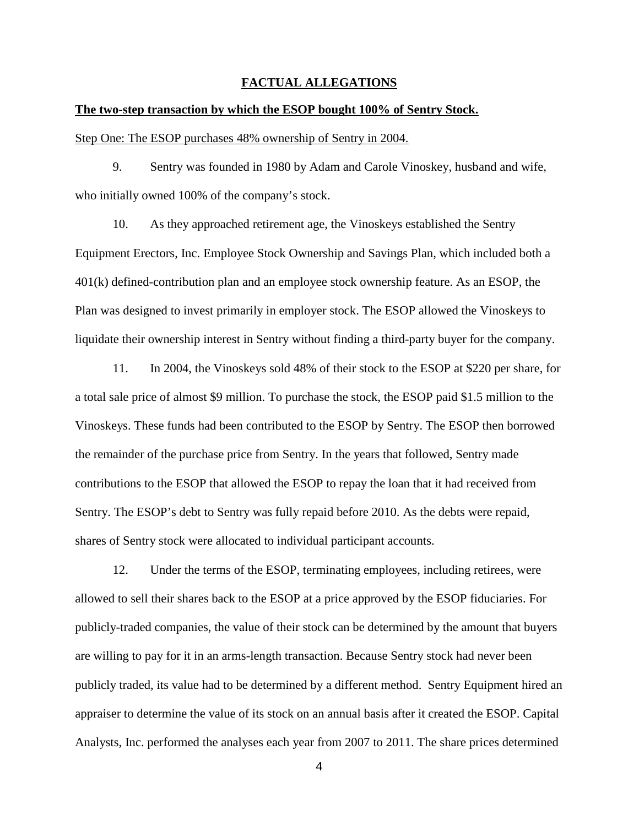## **FACTUAL ALLEGATIONS**

#### **The two-step transaction by which the ESOP bought 100% of Sentry Stock.**

Step One: The ESOP purchases 48% ownership of Sentry in 2004.

9. Sentry was founded in 1980 by Adam and Carole Vinoskey, husband and wife, who initially owned 100% of the company's stock.

10. As they approached retirement age, the Vinoskeys established the Sentry Equipment Erectors, Inc. Employee Stock Ownership and Savings Plan, which included both a 401(k) defined-contribution plan and an employee stock ownership feature. As an ESOP, the Plan was designed to invest primarily in employer stock. The ESOP allowed the Vinoskeys to liquidate their ownership interest in Sentry without finding a third-party buyer for the company.

11. In 2004, the Vinoskeys sold 48% of their stock to the ESOP at \$220 per share, for a total sale price of almost \$9 million. To purchase the stock, the ESOP paid \$1.5 million to the Vinoskeys. These funds had been contributed to the ESOP by Sentry. The ESOP then borrowed the remainder of the purchase price from Sentry. In the years that followed, Sentry made contributions to the ESOP that allowed the ESOP to repay the loan that it had received from Sentry. The ESOP's debt to Sentry was fully repaid before 2010. As the debts were repaid, shares of Sentry stock were allocated to individual participant accounts.

12. Under the terms of the ESOP, terminating employees, including retirees, were allowed to sell their shares back to the ESOP at a price approved by the ESOP fiduciaries. For publicly-traded companies, the value of their stock can be determined by the amount that buyers are willing to pay for it in an arms-length transaction. Because Sentry stock had never been publicly traded, its value had to be determined by a different method. Sentry Equipment hired an appraiser to determine the value of its stock on an annual basis after it created the ESOP. Capital Analysts, Inc. performed the analyses each year from 2007 to 2011. The share prices determined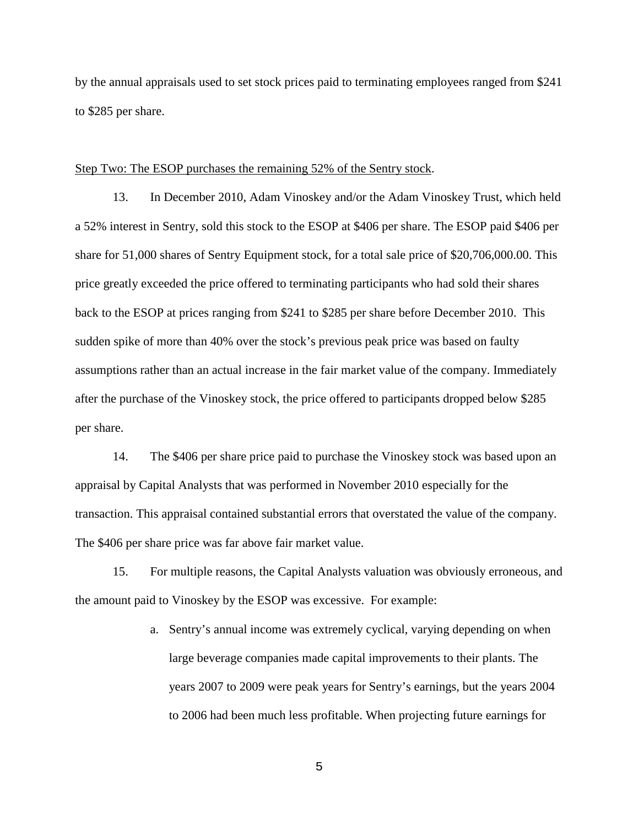by the annual appraisals used to set stock prices paid to terminating employees ranged from \$241 to \$285 per share.

### Step Two: The ESOP purchases the remaining 52% of the Sentry stock.

13. In December 2010, Adam Vinoskey and/or the Adam Vinoskey Trust, which held a 52% interest in Sentry, sold this stock to the ESOP at \$406 per share. The ESOP paid \$406 per share for 51,000 shares of Sentry Equipment stock, for a total sale price of \$20,706,000.00. This price greatly exceeded the price offered to terminating participants who had sold their shares back to the ESOP at prices ranging from \$241 to \$285 per share before December 2010. This sudden spike of more than 40% over the stock's previous peak price was based on faulty assumptions rather than an actual increase in the fair market value of the company. Immediately after the purchase of the Vinoskey stock, the price offered to participants dropped below \$285 per share.

14. The \$406 per share price paid to purchase the Vinoskey stock was based upon an appraisal by Capital Analysts that was performed in November 2010 especially for the transaction. This appraisal contained substantial errors that overstated the value of the company. The \$406 per share price was far above fair market value.

15. For multiple reasons, the Capital Analysts valuation was obviously erroneous, and the amount paid to Vinoskey by the ESOP was excessive. For example:

> a. Sentry's annual income was extremely cyclical, varying depending on when large beverage companies made capital improvements to their plants. The years 2007 to 2009 were peak years for Sentry's earnings, but the years 2004 to 2006 had been much less profitable. When projecting future earnings for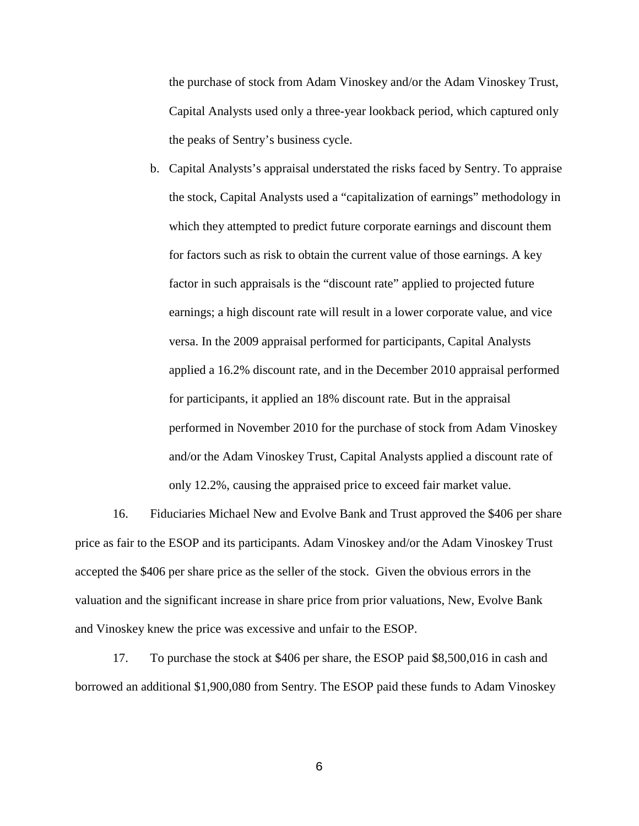the purchase of stock from Adam Vinoskey and/or the Adam Vinoskey Trust, Capital Analysts used only a three-year lookback period, which captured only the peaks of Sentry's business cycle.

b. Capital Analysts's appraisal understated the risks faced by Sentry. To appraise the stock, Capital Analysts used a "capitalization of earnings" methodology in which they attempted to predict future corporate earnings and discount them for factors such as risk to obtain the current value of those earnings. A key factor in such appraisals is the "discount rate" applied to projected future earnings; a high discount rate will result in a lower corporate value, and vice versa. In the 2009 appraisal performed for participants, Capital Analysts applied a 16.2% discount rate, and in the December 2010 appraisal performed for participants, it applied an 18% discount rate. But in the appraisal performed in November 2010 for the purchase of stock from Adam Vinoskey and/or the Adam Vinoskey Trust, Capital Analysts applied a discount rate of only 12.2%, causing the appraised price to exceed fair market value.

16. Fiduciaries Michael New and Evolve Bank and Trust approved the \$406 per share price as fair to the ESOP and its participants. Adam Vinoskey and/or the Adam Vinoskey Trust accepted the \$406 per share price as the seller of the stock. Given the obvious errors in the valuation and the significant increase in share price from prior valuations, New, Evolve Bank and Vinoskey knew the price was excessive and unfair to the ESOP.

17. To purchase the stock at \$406 per share, the ESOP paid \$8,500,016 in cash and borrowed an additional \$1,900,080 from Sentry. The ESOP paid these funds to Adam Vinoskey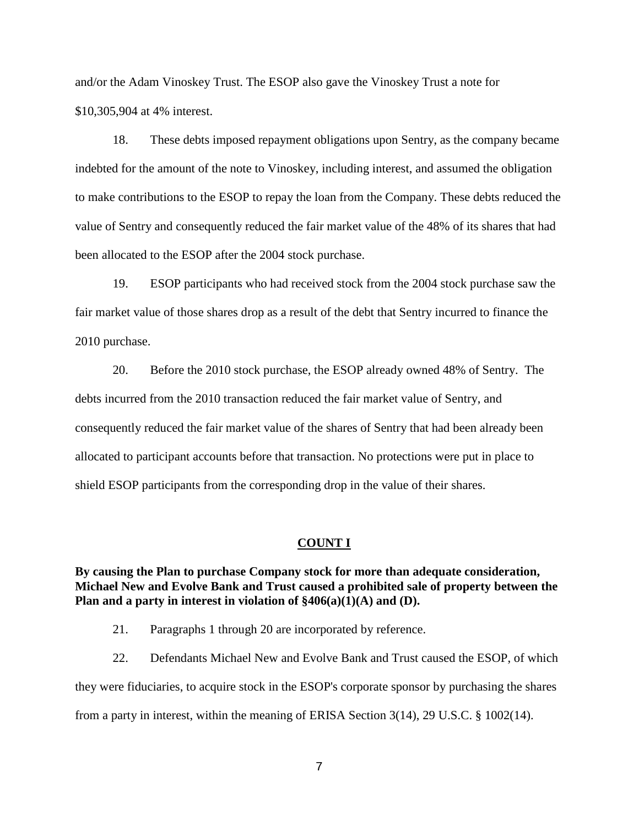and/or the Adam Vinoskey Trust. The ESOP also gave the Vinoskey Trust a note for \$10,305,904 at 4% interest.

18. These debts imposed repayment obligations upon Sentry, as the company became indebted for the amount of the note to Vinoskey, including interest, and assumed the obligation to make contributions to the ESOP to repay the loan from the Company. These debts reduced the value of Sentry and consequently reduced the fair market value of the 48% of its shares that had been allocated to the ESOP after the 2004 stock purchase.

19. ESOP participants who had received stock from the 2004 stock purchase saw the fair market value of those shares drop as a result of the debt that Sentry incurred to finance the 2010 purchase.

20. Before the 2010 stock purchase, the ESOP already owned 48% of Sentry. The debts incurred from the 2010 transaction reduced the fair market value of Sentry, and consequently reduced the fair market value of the shares of Sentry that had been already been allocated to participant accounts before that transaction. No protections were put in place to shield ESOP participants from the corresponding drop in the value of their shares.

#### **COUNT I**

**By causing the Plan to purchase Company stock for more than adequate consideration, Michael New and Evolve Bank and Trust caused a prohibited sale of property between the Plan and a party in interest in violation of §406(a)(1)(A) and (D).**

21. Paragraphs 1 through 20 are incorporated by reference.

22. Defendants Michael New and Evolve Bank and Trust caused the ESOP, of which they were fiduciaries, to acquire stock in the ESOP's corporate sponsor by purchasing the shares from a party in interest, within the meaning of ERISA Section 3(14), 29 U.S.C. § 1002(14).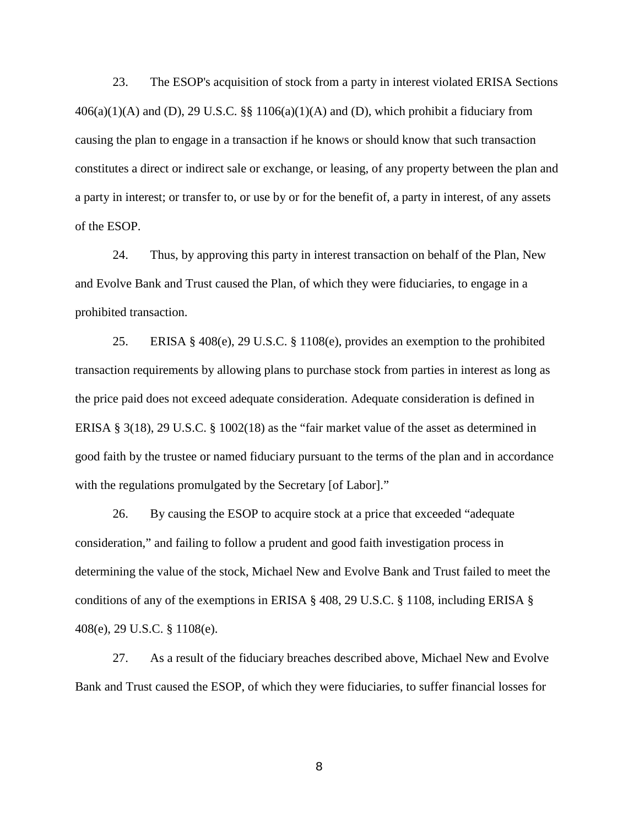23. The ESOP's acquisition of stock from a party in interest violated ERISA Sections  $406(a)(1)(A)$  and (D), 29 U.S.C. §§ 1106(a)(1)(A) and (D), which prohibit a fiduciary from causing the plan to engage in a transaction if he knows or should know that such transaction constitutes a direct or indirect sale or exchange, or leasing, of any property between the plan and a party in interest; or transfer to, or use by or for the benefit of, a party in interest, of any assets of the ESOP.

24. Thus, by approving this party in interest transaction on behalf of the Plan, New and Evolve Bank and Trust caused the Plan, of which they were fiduciaries, to engage in a prohibited transaction.

25. ERISA § 408(e), 29 U.S.C. § 1108(e), provides an exemption to the prohibited transaction requirements by allowing plans to purchase stock from parties in interest as long as the price paid does not exceed adequate consideration. Adequate consideration is defined in ERISA § 3(18), 29 U.S.C. § 1002(18) as the "fair market value of the asset as determined in good faith by the trustee or named fiduciary pursuant to the terms of the plan and in accordance with the regulations promulgated by the Secretary [of Labor]."

26. By causing the ESOP to acquire stock at a price that exceeded "adequate consideration," and failing to follow a prudent and good faith investigation process in determining the value of the stock, Michael New and Evolve Bank and Trust failed to meet the conditions of any of the exemptions in ERISA § 408, 29 U.S.C. § 1108, including ERISA § 408(e), 29 U.S.C. § 1108(e).

27. As a result of the fiduciary breaches described above, Michael New and Evolve Bank and Trust caused the ESOP, of which they were fiduciaries, to suffer financial losses for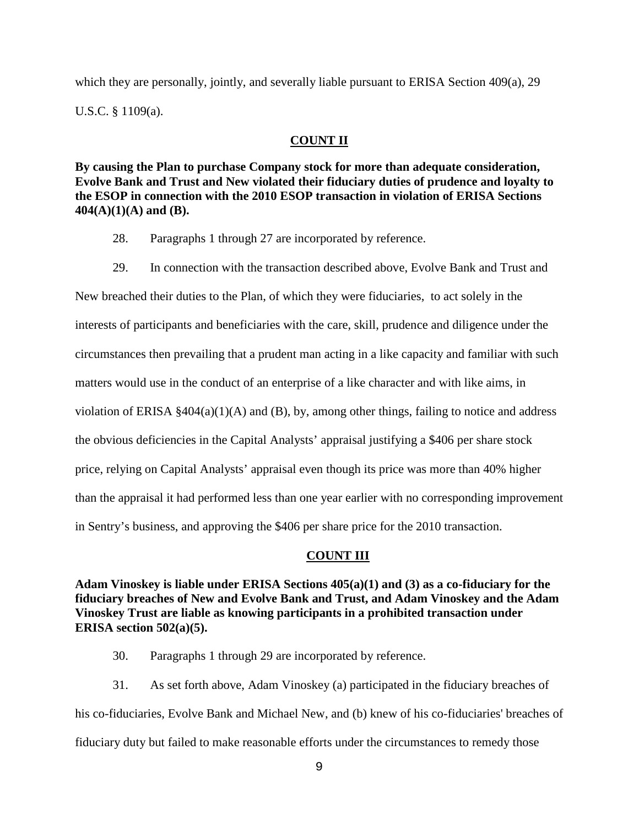which they are personally, jointly, and severally liable pursuant to ERISA Section 409(a), 29 U.S.C. § 1109(a).

# **COUNT II**

**By causing the Plan to purchase Company stock for more than adequate consideration, Evolve Bank and Trust and New violated their fiduciary duties of prudence and loyalty to the ESOP in connection with the 2010 ESOP transaction in violation of ERISA Sections 404(A)(1)(A) and (B).**

- 28. Paragraphs 1 through 27 are incorporated by reference.
- 29. In connection with the transaction described above, Evolve Bank and Trust and

New breached their duties to the Plan, of which they were fiduciaries, to act solely in the interests of participants and beneficiaries with the care, skill, prudence and diligence under the circumstances then prevailing that a prudent man acting in a like capacity and familiar with such matters would use in the conduct of an enterprise of a like character and with like aims, in violation of ERISA  $\S 404(a)(1)(A)$  and (B), by, among other things, failing to notice and address the obvious deficiencies in the Capital Analysts' appraisal justifying a \$406 per share stock price, relying on Capital Analysts' appraisal even though its price was more than 40% higher than the appraisal it had performed less than one year earlier with no corresponding improvement in Sentry's business, and approving the \$406 per share price for the 2010 transaction.

## **COUNT III**

**Adam Vinoskey is liable under ERISA Sections 405(a)(1) and (3) as a co-fiduciary for the fiduciary breaches of New and Evolve Bank and Trust, and Adam Vinoskey and the Adam Vinoskey Trust are liable as knowing participants in a prohibited transaction under ERISA section 502(a)(5).**

30. Paragraphs 1 through 29 are incorporated by reference.

31. As set forth above, Adam Vinoskey (a) participated in the fiduciary breaches of his co-fiduciaries, Evolve Bank and Michael New, and (b) knew of his co-fiduciaries' breaches of fiduciary duty but failed to make reasonable efforts under the circumstances to remedy those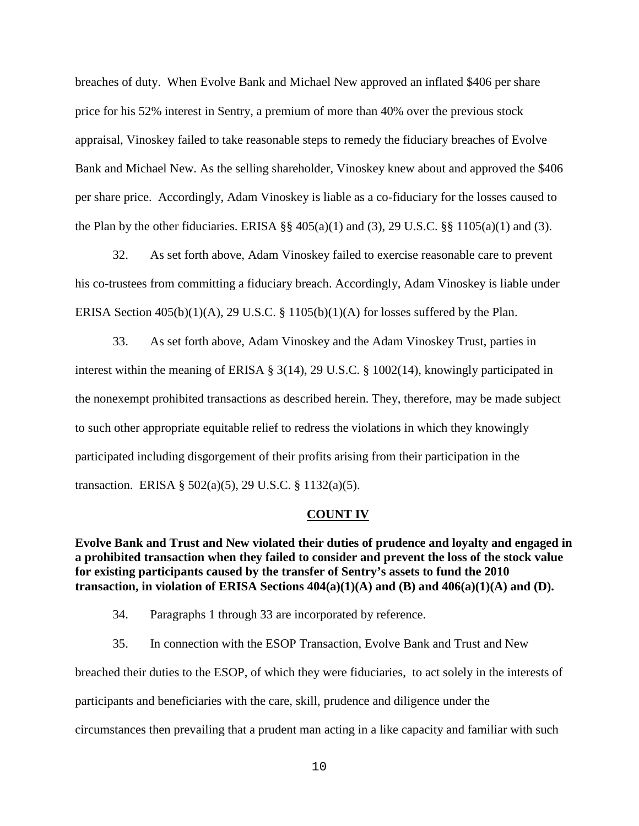breaches of duty. When Evolve Bank and Michael New approved an inflated \$406 per share price for his 52% interest in Sentry, a premium of more than 40% over the previous stock appraisal, Vinoskey failed to take reasonable steps to remedy the fiduciary breaches of Evolve Bank and Michael New. As the selling shareholder, Vinoskey knew about and approved the \$406 per share price. Accordingly, Adam Vinoskey is liable as a co-fiduciary for the losses caused to the Plan by the other fiduciaries. ERISA  $\S$  405(a)(1) and (3), 29 U.S.C.  $\S$  1105(a)(1) and (3).

32. As set forth above, Adam Vinoskey failed to exercise reasonable care to prevent his co-trustees from committing a fiduciary breach. Accordingly, Adam Vinoskey is liable under ERISA Section  $405(b)(1)(A)$ , 29 U.S.C. § 1105 $(b)(1)(A)$  for losses suffered by the Plan.

33. As set forth above, Adam Vinoskey and the Adam Vinoskey Trust, parties in interest within the meaning of ERISA § 3(14), 29 U.S.C. § 1002(14), knowingly participated in the nonexempt prohibited transactions as described herein. They, therefore, may be made subject to such other appropriate equitable relief to redress the violations in which they knowingly participated including disgorgement of their profits arising from their participation in the transaction. ERISA § 502(a)(5), 29 U.S.C. § 1132(a)(5).

#### **COUNT IV**

**Evolve Bank and Trust and New violated their duties of prudence and loyalty and engaged in a prohibited transaction when they failed to consider and prevent the loss of the stock value for existing participants caused by the transfer of Sentry's assets to fund the 2010 transaction, in violation of ERISA Sections 404(a)(1)(A) and (B) and 406(a)(1)(A) and (D).**

- 34. Paragraphs 1 through 33 are incorporated by reference.
- 35. In connection with the ESOP Transaction, Evolve Bank and Trust and New

breached their duties to the ESOP, of which they were fiduciaries, to act solely in the interests of participants and beneficiaries with the care, skill, prudence and diligence under the circumstances then prevailing that a prudent man acting in a like capacity and familiar with such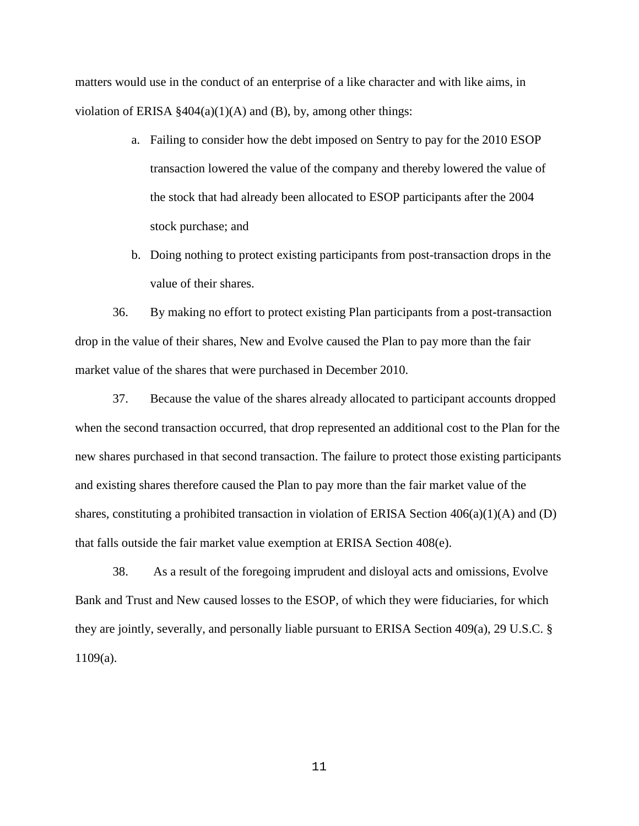matters would use in the conduct of an enterprise of a like character and with like aims, in violation of ERISA  $\S 404(a)(1)(A)$  and (B), by, among other things:

- a. Failing to consider how the debt imposed on Sentry to pay for the 2010 ESOP transaction lowered the value of the company and thereby lowered the value of the stock that had already been allocated to ESOP participants after the 2004 stock purchase; and
- b. Doing nothing to protect existing participants from post-transaction drops in the value of their shares.

36. By making no effort to protect existing Plan participants from a post-transaction drop in the value of their shares, New and Evolve caused the Plan to pay more than the fair market value of the shares that were purchased in December 2010.

37. Because the value of the shares already allocated to participant accounts dropped when the second transaction occurred, that drop represented an additional cost to the Plan for the new shares purchased in that second transaction. The failure to protect those existing participants and existing shares therefore caused the Plan to pay more than the fair market value of the shares, constituting a prohibited transaction in violation of ERISA Section 406(a)(1)(A) and (D) that falls outside the fair market value exemption at ERISA Section 408(e).

38. As a result of the foregoing imprudent and disloyal acts and omissions, Evolve Bank and Trust and New caused losses to the ESOP, of which they were fiduciaries, for which they are jointly, severally, and personally liable pursuant to ERISA Section 409(a), 29 U.S.C. § 1109(a).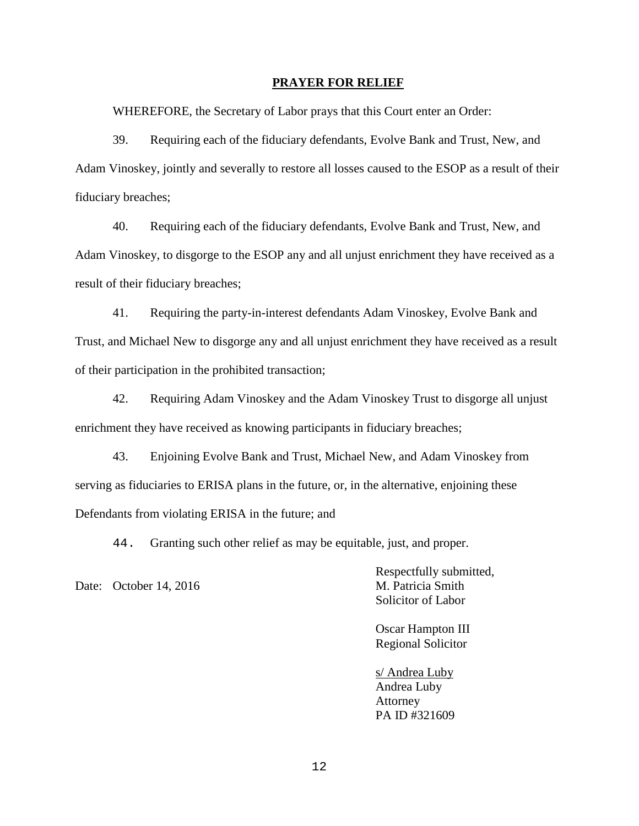#### **PRAYER FOR RELIEF**

WHEREFORE, the Secretary of Labor prays that this Court enter an Order:

39. Requiring each of the fiduciary defendants, Evolve Bank and Trust, New, and Adam Vinoskey, jointly and severally to restore all losses caused to the ESOP as a result of their fiduciary breaches;

40. Requiring each of the fiduciary defendants, Evolve Bank and Trust, New, and Adam Vinoskey, to disgorge to the ESOP any and all unjust enrichment they have received as a result of their fiduciary breaches;

41. Requiring the party-in-interest defendants Adam Vinoskey, Evolve Bank and Trust, and Michael New to disgorge any and all unjust enrichment they have received as a result of their participation in the prohibited transaction;

42. Requiring Adam Vinoskey and the Adam Vinoskey Trust to disgorge all unjust enrichment they have received as knowing participants in fiduciary breaches;

43. Enjoining Evolve Bank and Trust, Michael New, and Adam Vinoskey from serving as fiduciaries to ERISA plans in the future, or, in the alternative, enjoining these Defendants from violating ERISA in the future; and

44. Granting such other relief as may be equitable, just, and proper.

Date: October 14, 2016 M. Patricia Smith

Respectfully submitted, Solicitor of Labor

Oscar Hampton III Regional Solicitor

s/ Andrea Luby Andrea Luby Attorney PA ID #321609